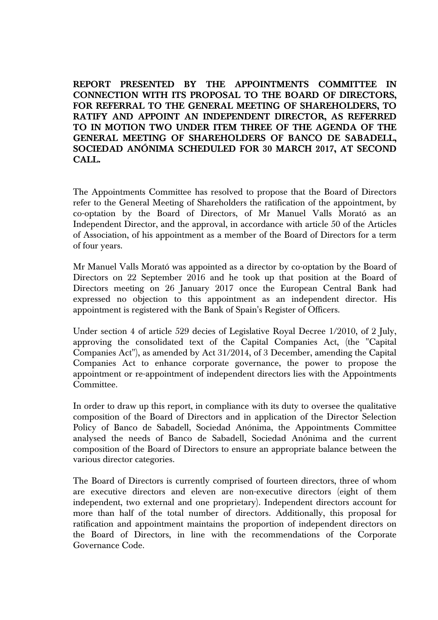**REPORT PRESENTED BY THE APPOINTMENTS COMMITTEE IN CONNECTION WITH ITS PROPOSAL TO THE BOARD OF DIRECTORS, FOR REFERRAL TO THE GENERAL MEETING OF SHAREHOLDERS, TO RATIFY AND APPOINT AN INDEPENDENT DIRECTOR, AS REFERRED TO IN MOTION TWO UNDER ITEM THREE OF THE AGENDA OF THE GENERAL MEETING OF SHAREHOLDERS OF BANCO DE SABADELL, SOCIEDAD ANÓNIMA SCHEDULED FOR 30 MARCH 2017, AT SECOND CALL.** 

The Appointments Committee has resolved to propose that the Board of Directors refer to the General Meeting of Shareholders the ratification of the appointment, by co-optation by the Board of Directors, of Mr Manuel Valls Morató as an Independent Director, and the approval, in accordance with article 50 of the Articles of Association, of his appointment as a member of the Board of Directors for a term of four years.

Mr Manuel Valls Morató was appointed as a director by co-optation by the Board of Directors on 22 September 2016 and he took up that position at the Board of Directors meeting on 26 January 2017 once the European Central Bank had expressed no objection to this appointment as an independent director. His appointment is registered with the Bank of Spain's Register of Officers.

Under section 4 of article 529 decies of Legislative Royal Decree 1/2010, of 2 July, approving the consolidated text of the Capital Companies Act, (the "Capital Companies Act"), as amended by Act 31/2014, of 3 December, amending the Capital Companies Act to enhance corporate governance, the power to propose the appointment or re-appointment of independent directors lies with the Appointments Committee.

In order to draw up this report, in compliance with its duty to oversee the qualitative composition of the Board of Directors and in application of the Director Selection Policy of Banco de Sabadell, Sociedad Anónima, the Appointments Committee analysed the needs of Banco de Sabadell, Sociedad Anónima and the current composition of the Board of Directors to ensure an appropriate balance between the various director categories.

The Board of Directors is currently comprised of fourteen directors, three of whom are executive directors and eleven are non-executive directors (eight of them independent, two external and one proprietary). Independent directors account for more than half of the total number of directors. Additionally, this proposal for ratification and appointment maintains the proportion of independent directors on the Board of Directors, in line with the recommendations of the Corporate Governance Code.